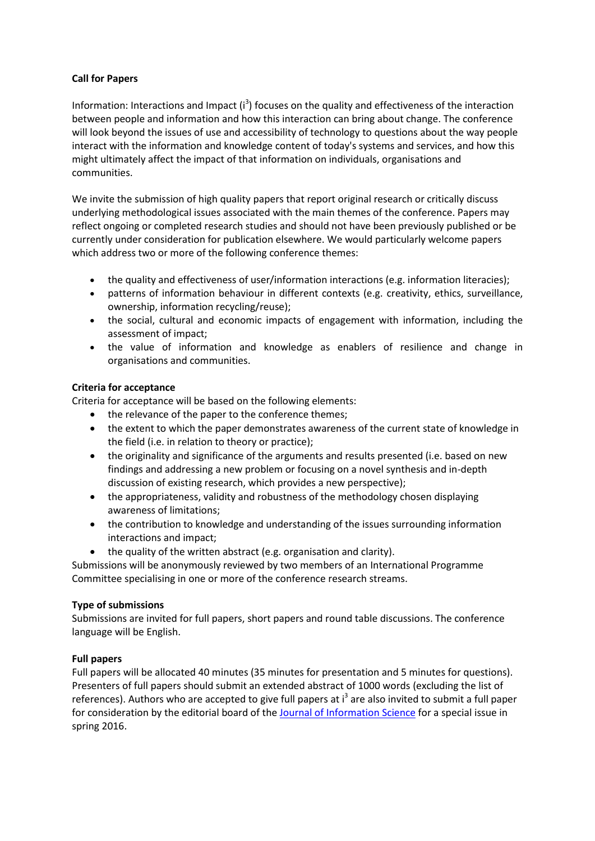## **Call for Papers**

Information: Interactions and Impact  $(i^3)$  focuses on the quality and effectiveness of the interaction between people and information and how this interaction can bring about change. The conference will look beyond the issues of use and accessibility of technology to questions about the way people interact with the information and knowledge content of today's systems and services, and how this might ultimately affect the impact of that information on individuals, organisations and communities.

We invite the submission of high quality papers that report original research or critically discuss underlying methodological issues associated with the main themes of the conference. Papers may reflect ongoing or completed research studies and should not have been previously published or be currently under consideration for publication elsewhere. We would particularly welcome papers which address two or more of the following conference themes:

- the quality and effectiveness of user/information interactions (e.g. information literacies);
- patterns of information behaviour in different contexts (e.g. creativity, ethics, surveillance, ownership, information recycling/reuse);
- the social, cultural and economic impacts of engagement with information, including the assessment of impact;
- the value of information and knowledge as enablers of resilience and change in organisations and communities.

# **Criteria for acceptance**

Criteria for acceptance will be based on the following elements:

- the relevance of the paper to the conference themes;
- the extent to which the paper demonstrates awareness of the current state of knowledge in the field (i.e. in relation to theory or practice);
- the originality and significance of the arguments and results presented (i.e. based on new findings and addressing a new problem or focusing on a novel synthesis and in-depth discussion of existing research, which provides a new perspective);
- the appropriateness, validity and robustness of the methodology chosen displaying awareness of limitations;
- the contribution to knowledge and understanding of the issues surrounding information interactions and impact;
- the quality of the written abstract (e.g. organisation and clarity).

Submissions will be anonymously reviewed by two members of an International Programme Committee specialising in one or more of the conference research streams.

# **Type of submissions**

Submissions are invited for full papers, short papers and round table discussions. The conference language will be English.

### **Full papers**

Full papers will be allocated 40 minutes (35 minutes for presentation and 5 minutes for questions). Presenters of full papers should submit an extended abstract of 1000 words (excluding the list of references). Authors who are accepted to give full papers at i<sup>3</sup> are also invited to submit a full paper for consideration by the editorial board of the **Journal of Information Science** for a special issue in spring 2016.